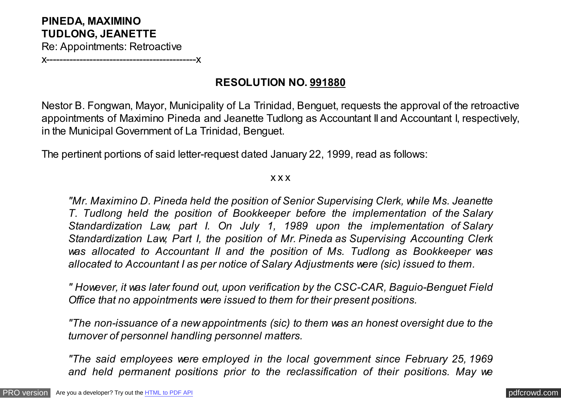## **PINEDA, MAXIMINO TUDLONG, JEANETTE**

Re: Appointments: Retroactive

x---------------------------------------------x

## **RESOLUTION NO. 991880**

Nestor B. Fongwan, Mayor, Municipality of La Trinidad, Benguet, requests the approval of the retroactive appointments of Maximino Pineda and Jeanette Tudlong as Accountant II and Accountant I, respectively, in the Municipal Government of La Trinidad, Benguet.

The pertinent portions of said letter-request dated January 22, 1999, read as follows:

x x x

*"Mr. Maximino D. Pineda held the position of Senior Supervising Clerk, while Ms. Jeanette T. Tudlong held the position of Bookkeeper before the implementation of the Salary Standardization Law, part I. On July 1, 1989 upon the implementation of Salary Standardization Law, Part I, the position of Mr. Pineda as Supervising Accounting Clerk was allocated to Accountant II and the position of Ms. Tudlong as Bookkeeper was allocated to Accountant I as per notice of Salary Adjustments were (sic) issued to them.*

*" However, it was later found out, upon verification by the CSC-CAR, Baguio-Benguet Field Office that no appointments were issued to them for their present positions.*

*"The non-issuance of a new appointments (sic) to them was an honest oversight due to the turnover of personnel handling personnel matters.*

*"The said employees were employed in the local government since February 25, 1969 and held permanent positions prior to the reclassification of their positions. May we*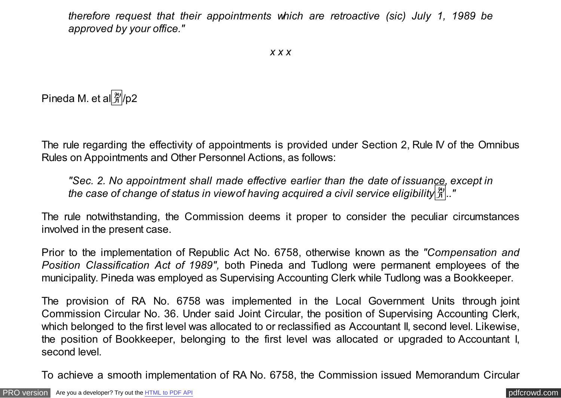*therefore request that their appointments which are retroactive (sic) July 1, 1989 be approved by your office."*

Pineda M. et al $\frac{\mathfrak{B}}{\mathfrak{B}}$ /p2

The rule regarding the effectivity of appointments is provided under Section 2, Rule IV of the Omnibus Rules on Appointments and Other Personnel Actions, as follows:

*"Sec. 2. No appointment shall made effective earlier than the date of issuance, except in the case of change of status in view of having acquired a civil service eligibility*�*.."*

The rule notwithstanding, the Commission deems it proper to consider the peculiar circumstances involved in the present case.

Prior to the implementation of Republic Act No. 6758, otherwise known as the *"Compensation and Position Classification Act of 1989",* both Pineda and Tudlong were permanent employees of the municipality. Pineda was employed as Supervising Accounting Clerk while Tudlong was a Bookkeeper.

The provision of RA No. 6758 was implemented in the Local Government Units through joint Commission Circular No. 36. Under said Joint Circular, the position of Supervising Accounting Clerk, which belonged to the first level was allocated to or reclassified as Accountant II, second level. Likewise, the position of Bookkeeper, belonging to the first level was allocated or upgraded to Accountant I, second level.

To achieve a smooth implementation of RA No. 6758, the Commission issued Memorandum Circular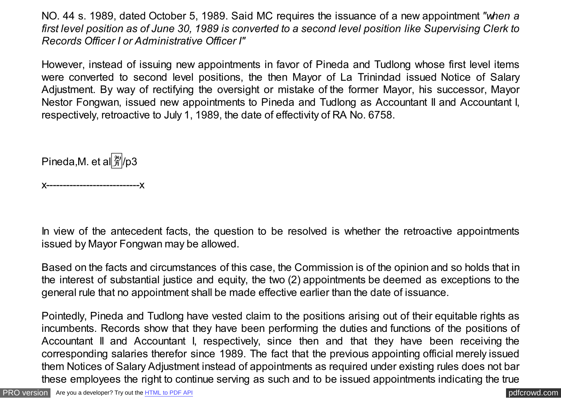NO. 44 s. 1989, dated October 5, 1989. Said MC requires the issuance of a new appointment *"when a first level position as of June 30, 1989 is converted to a second level position like Supervising Clerk to Records Officer I or Administrative Officer I"*

However, instead of issuing new appointments in favor of Pineda and Tudlong whose first level items were converted to second level positions, the then Mayor of La Trinindad issued Notice of Salary Adjustment. By way of rectifying the oversight or mistake of the former Mayor, his successor, Mayor Nestor Fongwan, issued new appointments to Pineda and Tudlong as Accountant II and Accountant I, respectively, retroactive to July 1, 1989, the date of effectivity of RA No. 6758.

Pineda, M. et al $\frac{24}{31}$ /p3

x----------------------------x

In view of the antecedent facts, the question to be resolved is whether the retroactive appointments issued by Mayor Fongwan may be allowed.

Based on the facts and circumstances of this case, the Commission is of the opinion and so holds that in the interest of substantial justice and equity, the two (2) appointments be deemed as exceptions to the general rule that no appointment shall be made effective earlier than the date of issuance.

Pointedly, Pineda and Tudlong have vested claim to the positions arising out of their equitable rights as incumbents. Records show that they have been performing the duties and functions of the positions of Accountant II and Accountant I, respectively, since then and that they have been receiving the corresponding salaries therefor since 1989. The fact that the previous appointing official merely issued them Notices of Salary Adjustment instead of appointments as required under existing rules does not bar these employees the right to continue serving as such and to be issued appointments indicating the true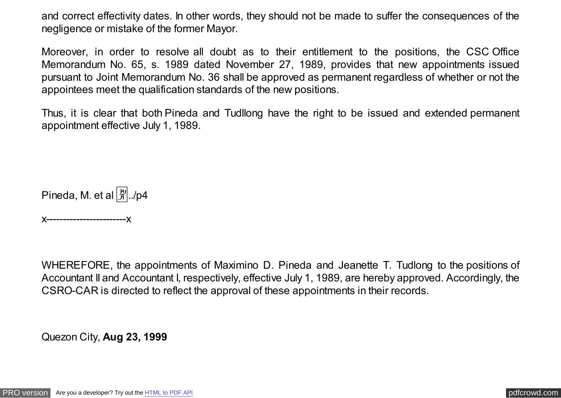and correct effectivity dates. In other words, they should not be made to suffer the consequences of the negligence or mistake of the former Mayor.

Moreover, in order to resolve all doubt as to their entitlement to the positions, the CSC Office Memorandum No. 65, s. 1989 dated November 27, 1989, provides that new appointments issued pursuant to Joint Memorandum No. 36 shall be approved as permanent regardless of whether or not the appointees meet the qualification standards of the new positions.

Thus, it is clear that both Pineda and Tudllong have the right to be issued and extended permanent appointment effective July 1, 1989.

Pineda, M. et al  $\left[\frac{m}{21}\right]$ ./p4

x------------------------x

WHEREFORE, the appointments of Maximino D. Pineda and Jeanette T. Tudlong to the positions of Accountant II and Accountant I, respectively, effective July 1, 1989, are hereby approved. Accordingly, the CSRO-CAR is directed to reflect the approval of these appointments in their records.

Quezon City, **Aug 23, 1999**